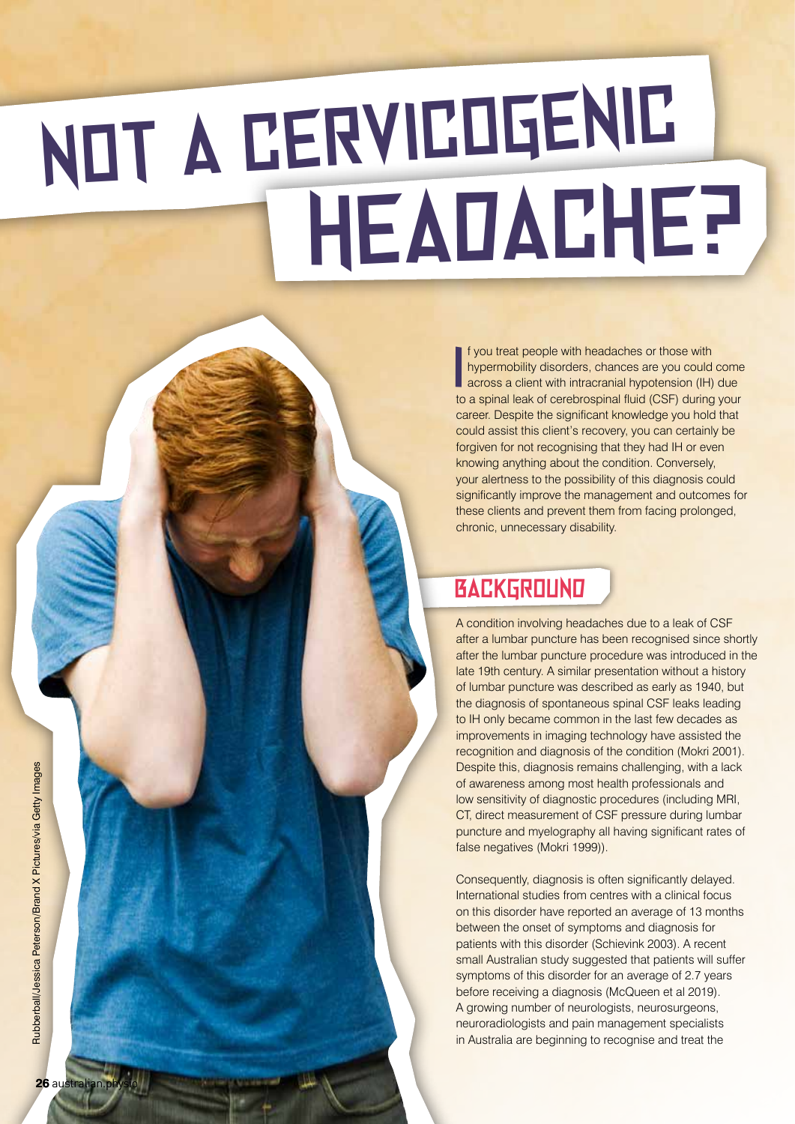## NOT A CERVICOGENIC headache?

I f you treat people with headaches or those with hypermobility disorders, chances are you could come across a client with intracranial hypotension (IH) due to a spinal leak of cerebrospinal fluid (CSF) during your career. Despite the significant knowledge you hold that could assist this client's recovery, you can certainly be forgiven for not recognising that they had IH or even knowing anything about the condition. Conversely, your alertness to the possibility of this diagnosis could significantly improve the management and outcomes for these clients and prevent them from facing prolonged, chronic, unnecessary disability.

## **BACKGROUND**

A condition involving headaches due to a leak of CSF after a lumbar puncture has been recognised since shortly after the lumbar puncture procedure was introduced in the late 19th century. A similar presentation without a history of lumbar puncture was described as early as 1940, but the diagnosis of spontaneous spinal CSF leaks leading to IH only became common in the last few decades as improvements in imaging technology have assisted the recognition and diagnosis of the condition (Mokri 2001). Despite this, diagnosis remains challenging, with a lack of awareness among most health professionals and low sensitivity of diagnostic procedures (including MRI, CT, direct measurement of CSF pressure during lumbar puncture and myelography all having significant rates of false negatives (Mokri 1999)).

Consequently, diagnosis is often significantly delayed. International studies from centres with a clinical focus on this disorder have reported an average of 13 months between the onset of symptoms and diagnosis for patients with this disorder (Schievink 2003). A recent small Australian study suggested that patients will suffer symptoms of this disorder for an average of 2.7 years before receiving a diagnosis (McQueen et al 2019). A growing number of neurologists, neurosurgeons, neuroradiologists and pain management specialists in Australia are beginning to recognise and treat the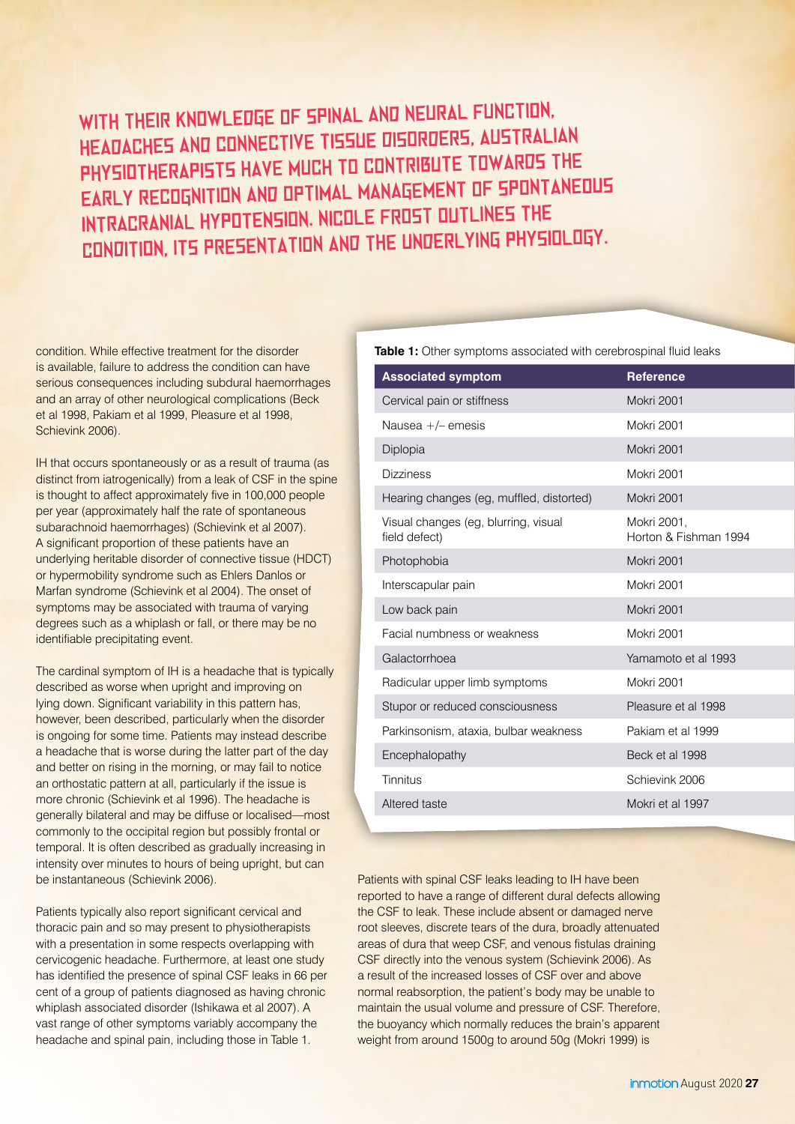WITH THEIR KNOWLEDGE OF SPINAL AND NEURAL FUNCTION, headaches and connective tissue disorders, Australian physiotherapists have much to contribute towards the early recognition and optimal management of spontaneous intracranial hypotension. Nicole Frost outlines the condition, its presentation and the underlying physiology.

condition. While effective treatment for the disorder is available, failure to address the condition can have serious consequences including subdural haemorrhages and an array of other neurological complications (Beck et al 1998, Pakiam et al 1999, Pleasure et al 1998, Schievink 2006).

IH that occurs spontaneously or as a result of trauma (as distinct from iatrogenically) from a leak of CSF in the spine is thought to affect approximately five in 100,000 people per year (approximately half the rate of spontaneous subarachnoid haemorrhages) (Schievink et al 2007). A significant proportion of these patients have an underlying heritable disorder of connective tissue (HDCT) or hypermobility syndrome such as Ehlers Danlos or Marfan syndrome (Schievink et al 2004). The onset of symptoms may be associated with trauma of varying degrees such as a whiplash or fall, or there may be no identifiable precipitating event.

The cardinal symptom of IH is a headache that is typically described as worse when upright and improving on lying down. Significant variability in this pattern has, however, been described, particularly when the disorder is ongoing for some time. Patients may instead describe a headache that is worse during the latter part of the day and better on rising in the morning, or may fail to notice an orthostatic pattern at all, particularly if the issue is more chronic (Schievink et al 1996). The headache is generally bilateral and may be diffuse or localised—most commonly to the occipital region but possibly frontal or temporal. It is often described as gradually increasing in intensity over minutes to hours of being upright, but can be instantaneous (Schievink 2006).

Patients typically also report significant cervical and thoracic pain and so may present to physiotherapists with a presentation in some respects overlapping with cervicogenic headache. Furthermore, at least one study has identified the presence of spinal CSF leaks in 66 per cent of a group of patients diagnosed as having chronic whiplash associated disorder (Ishikawa et al 2007). A vast range of other symptoms variably accompany the headache and spinal pain, including those in Table 1.

**Table 1:** Other symptoms associated with cerebrospinal fluid leaks

| <b>Associated symptom</b>                             | <b>Reference</b>                     |
|-------------------------------------------------------|--------------------------------------|
| Cervical pain or stiffness                            | <b>Mokri 2001</b>                    |
| Nausea $+/-$ emesis                                   | <b>Mokri 2001</b>                    |
| Diplopia                                              | <b>Mokri 2001</b>                    |
| <b>Dizziness</b>                                      | <b>Mokri 2001</b>                    |
| Hearing changes (eg, muffled, distorted)              | <b>Mokri 2001</b>                    |
| Visual changes (eg, blurring, visual<br>field defect) | Mokri 2001,<br>Horton & Fishman 1994 |
| Photophobia                                           | <b>Mokri 2001</b>                    |
| Interscapular pain                                    | <b>Mokri 2001</b>                    |
| Low back pain                                         | Mokri 2001                           |
| Facial numbness or weakness                           | <b>Mokri 2001</b>                    |
| Galactorrhoea                                         | Yamamoto et al 1993                  |
| Radicular upper limb symptoms                         | <b>Mokri 2001</b>                    |
| Stupor or reduced consciousness                       | Pleasure et al 1998                  |
| Parkinsonism, ataxia, bulbar weakness                 | Pakiam et al 1999                    |
| Encephalopathy                                        | Beck et al 1998                      |
| Tinnitus                                              | Schievink 2006                       |
| Altered taste                                         | Mokri et al 1997                     |
|                                                       |                                      |

Patients with spinal CSF leaks leading to IH have been reported to have a range of different dural defects allowing the CSF to leak. These include absent or damaged nerve root sleeves, discrete tears of the dura, broadly attenuated areas of dura that weep CSF, and venous fistulas draining CSF directly into the venous system (Schievink 2006). As a result of the increased losses of CSF over and above normal reabsorption, the patient's body may be unable to maintain the usual volume and pressure of CSF. Therefore, the buoyancy which normally reduces the brain's apparent weight from around 1500g to around 50g (Mokri 1999) is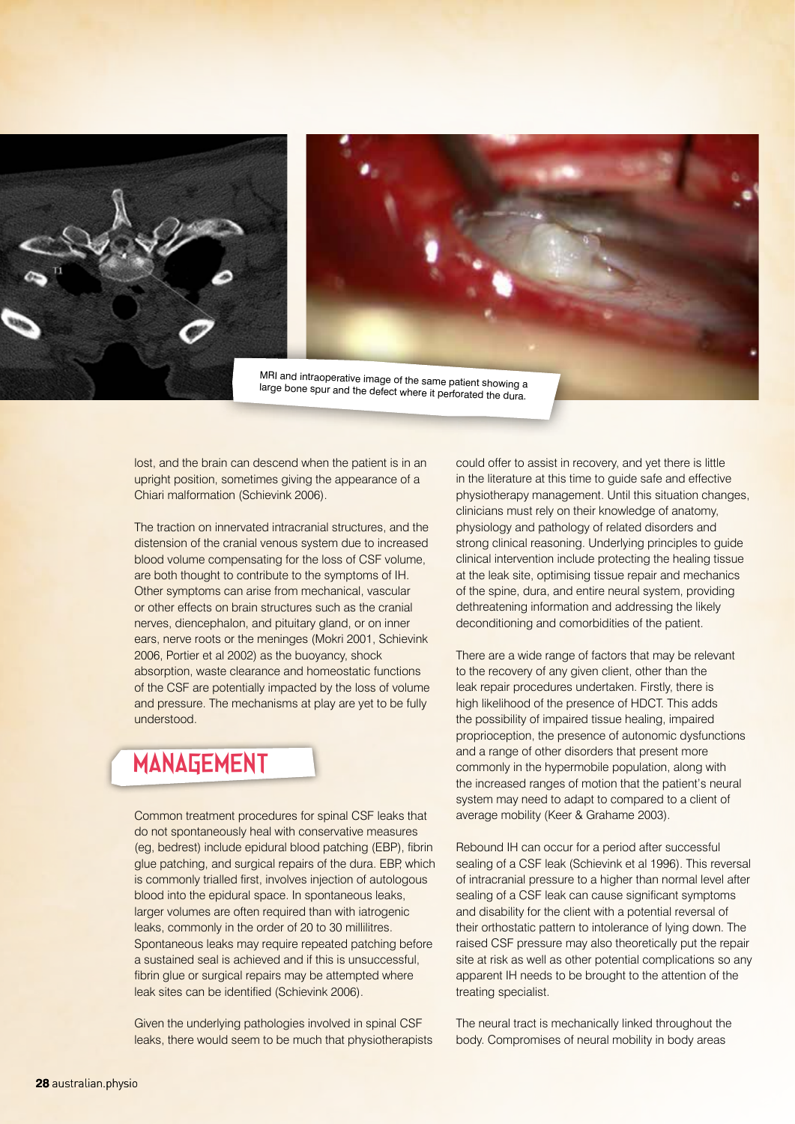



large bone spur and the defect where it perforated the dura.

lost, and the brain can descend when the patient is in an upright position, sometimes giving the appearance of a Chiari malformation (Schievink 2006).

The traction on innervated intracranial structures, and the distension of the cranial venous system due to increased blood volume compensating for the loss of CSF volume, are both thought to contribute to the symptoms of IH. Other symptoms can arise from mechanical, vascular or other effects on brain structures such as the cranial nerves, diencephalon, and pituitary gland, or on inner ears, nerve roots or the meninges (Mokri 2001, Schievink 2006, Portier et al 2002) as the buoyancy, shock absorption, waste clearance and homeostatic functions of the CSF are potentially impacted by the loss of volume and pressure. The mechanisms at play are yet to be fully understood.

## **MANAGEMENT**

Common treatment procedures for spinal CSF leaks that do not spontaneously heal with conservative measures (eg, bedrest) include epidural blood patching (EBP), fibrin glue patching, and surgical repairs of the dura. EBP, which is commonly trialled first, involves injection of autologous blood into the epidural space. In spontaneous leaks, larger volumes are often required than with iatrogenic leaks, commonly in the order of 20 to 30 millilitres. Spontaneous leaks may require repeated patching before a sustained seal is achieved and if this is unsuccessful, fibrin glue or surgical repairs may be attempted where leak sites can be identified (Schievink 2006).

Given the underlying pathologies involved in spinal CSF leaks, there would seem to be much that physiotherapists could offer to assist in recovery, and yet there is little in the literature at this time to guide safe and effective physiotherapy management. Until this situation changes, clinicians must rely on their knowledge of anatomy, physiology and pathology of related disorders and strong clinical reasoning. Underlying principles to guide clinical intervention include protecting the healing tissue at the leak site, optimising tissue repair and mechanics of the spine, dura, and entire neural system, providing dethreatening information and addressing the likely deconditioning and comorbidities of the patient.

There are a wide range of factors that may be relevant to the recovery of any given client, other than the leak repair procedures undertaken. Firstly, there is high likelihood of the presence of HDCT. This adds the possibility of impaired tissue healing, impaired proprioception, the presence of autonomic dysfunctions and a range of other disorders that present more commonly in the hypermobile population, along with the increased ranges of motion that the patient's neural system may need to adapt to compared to a client of average mobility (Keer & Grahame 2003).

Rebound IH can occur for a period after successful sealing of a CSF leak (Schievink et al 1996). This reversal of intracranial pressure to a higher than normal level after sealing of a CSF leak can cause significant symptoms and disability for the client with a potential reversal of their orthostatic pattern to intolerance of lying down. The raised CSF pressure may also theoretically put the repair site at risk as well as other potential complications so any apparent IH needs to be brought to the attention of the treating specialist.

The neural tract is mechanically linked throughout the body. Compromises of neural mobility in body areas